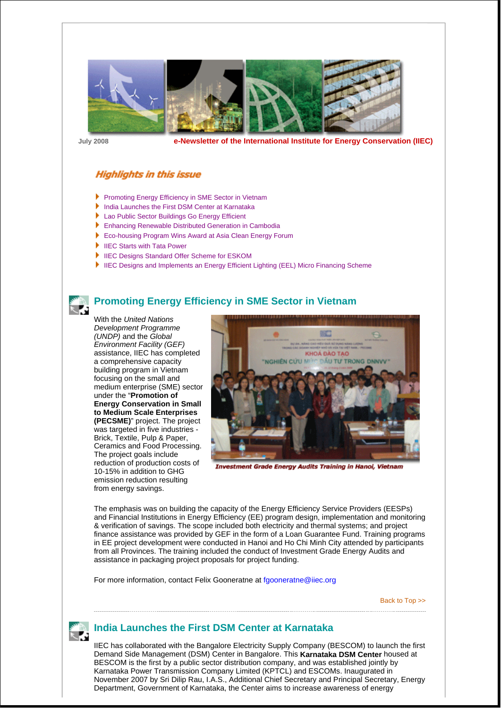

**July 2008 e-Newsletter of the International Institute for Energy Conservation (IIEC)**

#### **Highlights in this issue**

- **Promoting Energy Efficiency in SME Sector in Vietnam**
- India Launches the First DSM Center at Karnataka
- ▶ Lao Public Sector Buildings Go Energy Efficient
- **Enhancing Renewable Distributed Generation in Cambodia**
- ▶ Eco-housing Program Wins Award at Asia Clean Energy Forum
- ▶ IIEC Starts with Tata Power
- ▶ IIEC Designs Standard Offer Scheme for ESKOM
- **IIEC Designs and Implements an Energy Efficient Lighting (EEL) Micro Financing Scheme**



#### **Promoting Energy Efficiency in SME Sector in Vietnam**

With the *United Nations Development Programme (UNDP)* and the *Global Environment Facility (GEF)*  assistance, IIEC has completed a comprehensive capacity building program in Vietnam focusing on the small and medium enterprise (SME) sector under the "**Promotion of Energy Conservation in Small to Medium Scale Enterprises (PECSME)**" project. The project was targeted in five industries -Brick, Textile, Pulp & Paper, Ceramics and Food Processing. The project goals include reduction of production costs of 10-15% in addition to GHG emission reduction resulting from energy savings.



**Investment Grade Energy Audits Training in Hanoi, Vietnam** 

The emphasis was on building the capacity of the Energy Efficiency Service Providers (EESPs) and Financial Institutions in Energy Efficiency (EE) program design, implementation and monitoring & verification of savings. The scope included both electricity and thermal systems; and project finance assistance was provided by GEF in the form of a Loan Guarantee Fund. Training programs in EE project development were conducted in Hanoi and Ho Chi Minh City attended by participants from all Provinces. The training included the conduct of Investment Grade Energy Audits and assistance in packaging project proposals for project funding.

For more information, contact Felix Gooneratne at fgooneratne@iiec.org

Back to Top >>



#### **India Launches the First DSM Center at Karnataka**

IIEC has collaborated with the Bangalore Electricity Supply Company (BESCOM) to launch the first Demand Side Management (DSM) Center in Bangalore. This **Karnataka DSM Center** housed at BESCOM is the first by a public sector distribution company, and was established jointly by Karnataka Power Transmission Company Limited (KPTCL) and ESCOMs. Inaugurated in November 2007 by Sri Dilip Rau, I.A.S., Additional Chief Secretary and Principal Secretary, Energy Department, Government of Karnataka, the Center aims to increase awareness of energy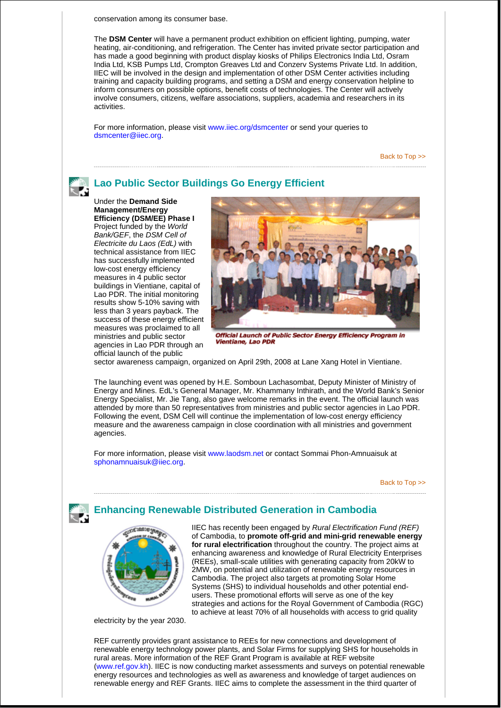conservation among its consumer base.

The **DSM Center** will have a permanent product exhibition on efficient lighting, pumping, water heating, air-conditioning, and refrigeration. The Center has invited private sector participation and has made a good beginning with product display kiosks of Philips Electronics India Ltd, Osram India Ltd, KSB Pumps Ltd, Crompton Greaves Ltd and Conzerv Systems Private Ltd. In addition, IIEC will be involved in the design and implementation of other DSM Center activities including training and capacity building programs, and setting a DSM and energy conservation helpline to inform consumers on possible options, benefit costs of technologies. The Center will actively involve consumers, citizens, welfare associations, suppliers, academia and researchers in its activities.

For more information, please visit www.iiec.org/dsmcenter or send your queries to dsmcenter@iiec.org.

Back to Top >>

#### **Lao Public Sector Buildings Go Energy Efficient**

Under the **Demand Side Management/Energy Efficiency (DSM/EE) Phase I**  Project funded by the *World Bank/GEF*, the *DSM Cell of Electricite du Laos (EdL)* with technical assistance from IIEC has successfully implemented low-cost energy efficiency measures in 4 public sector buildings in Vientiane, capital of Lao PDR. The initial monitoring results show 5-10% saving with less than 3 years payback. The success of these energy efficient measures was proclaimed to all ministries and public sector agencies in Lao PDR through an official launch of the public

रू



Official Launch of Public Sector Energy Efficiency Program in **Vientiane, Lao PDR** 

sector awareness campaign, organized on April 29th, 2008 at Lane Xang Hotel in Vientiane.

The launching event was opened by H.E. Somboun Lachasombat, Deputy Minister of Ministry of Energy and Mines. EdL's General Manager, Mr. Khammany Inthirath, and the World Bank's Senior Energy Specialist, Mr. Jie Tang, also gave welcome remarks in the event. The official launch was attended by more than 50 representatives from ministries and public sector agencies in Lao PDR. Following the event, DSM Cell will continue the implementation of low-cost energy efficiency measure and the awareness campaign in close coordination with all ministries and government agencies.

For more information, please visit www.laodsm.net or contact Sommai Phon-Amnuaisuk at sphonamnuaisuk@iiec.org.

Back to Top >>

# **Enhancing Renewable Distributed Generation in Cambodia**



IIEC has recently been engaged by *Rural Electrification Fund (REF)* of Cambodia, to **promote off-grid and mini-grid renewable energy for rural electrification** throughout the country. The project aims at enhancing awareness and knowledge of Rural Electricity Enterprises (REEs), small-scale utilities with generating capacity from 20kW to 2MW, on potential and utilization of renewable energy resources in Cambodia. The project also targets at promoting Solar Home Systems (SHS) to individual households and other potential endusers. These promotional efforts will serve as one of the key strategies and actions for the Royal Government of Cambodia (RGC) to achieve at least 70% of all households with access to grid quality

electricity by the year 2030.

REF currently provides grant assistance to REEs for new connections and development of renewable energy technology power plants, and Solar Firms for supplying SHS for households in rural areas. More information of the REF Grant Program is available at REF website (www.ref.gov.kh). IIEC is now conducting market assessments and surveys on potential renewable energy resources and technologies as well as awareness and knowledge of target audiences on renewable energy and REF Grants. IIEC aims to complete the assessment in the third quarter of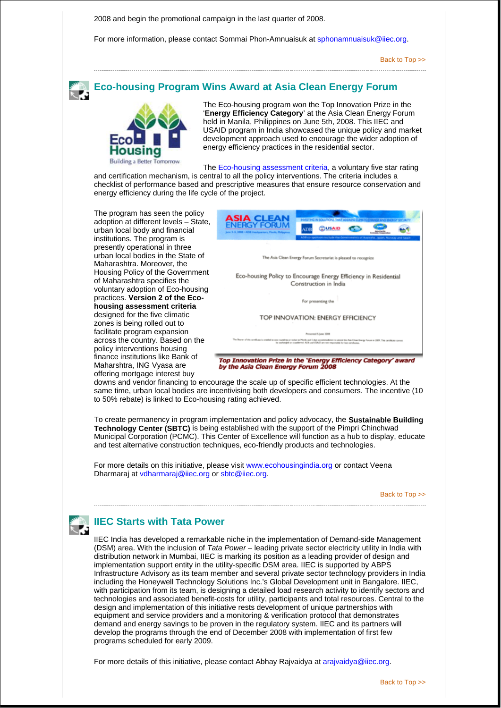2008 and begin the promotional campaign in the last quarter of 2008.

For more information, please contact Sommai Phon-Amnuaisuk at sphonamnuaisuk@iiec.org.

Back to Top >>

# **Eco-housing Program Wins Award at Asia Clean Energy Forum**



The Eco-housing program won the Top Innovation Prize in the '**Energy Efficiency Category**' at the Asia Clean Energy Forum held in Manila, Philippines on June 5th, 2008. This IIEC and USAID program in India showcased the unique policy and market development approach used to encourage the wider adoption of energy efficiency practices in the residential sector.

The Eco-housing assessment criteria, a voluntary five star rating and certification mechanism, is central to all the policy interventions. The criteria includes a checklist of performance based and prescriptive measures that ensure resource conservation and energy efficiency during the life cycle of the project.

The program has seen the policy adoption at different levels – State, urban local body and financial institutions. The program is presently operational in three urban local bodies in the State of Maharashtra. Moreover, the Housing Policy of the Government of Maharashtra specifies the voluntary adoption of Eco-housing practices. **Version 2 of the Ecohousing assessment criteria** designed for the five climatic zones is being rolled out to facilitate program expansion across the country. Based on the policy interventions housing finance institutions like Bank of Maharshtra, ING Vyasa are offering mortgage interest buy



downs and vendor financing to encourage the scale up of specific efficient technologies. At the same time, urban local bodies are incentivising both developers and consumers. The incentive (10 to 50% rebate) is linked to Eco-housing rating achieved.

To create permanency in program implementation and policy advocacy, the **Sustainable Building Technology Center (SBTC)** is being established with the support of the Pimpri Chinchwad Municipal Corporation (PCMC). This Center of Excellence will function as a hub to display, educate and test alternative construction techniques, eco-friendly products and technologies.

For more details on this initiative, please visit www.ecohousingindia.org or contact Veena Dharmaraj at vdharmaraj@iiec.org or sbtc@iiec.org.

Back to Top >>



### **IIEC Starts with Tata Power**

IIEC India has developed a remarkable niche in the implementation of Demand-side Management (DSM) area. With the inclusion of *Tata Power* – leading private sector electricity utility in India with distribution network in Mumbai, IIEC is marking its position as a leading provider of design and implementation support entity in the utility-specific DSM area. IIEC is supported by ABPS Infrastructure Advisory as its team member and several private sector technology providers in India including the Honeywell Technology Solutions Inc.'s Global Development unit in Bangalore. IIEC, with participation from its team, is designing a detailed load research activity to identify sectors and technologies and associated benefit-costs for utility, participants and total resources. Central to the design and implementation of this initiative rests development of unique partnerships with equipment and service providers and a monitoring & verification protocol that demonstrates demand and energy savings to be proven in the regulatory system. IIEC and its partners will develop the programs through the end of December 2008 with implementation of first few programs scheduled for early 2009.

For more details of this initiative, please contact Abhay Rajvaidya at arajvaidya@iiec.org.